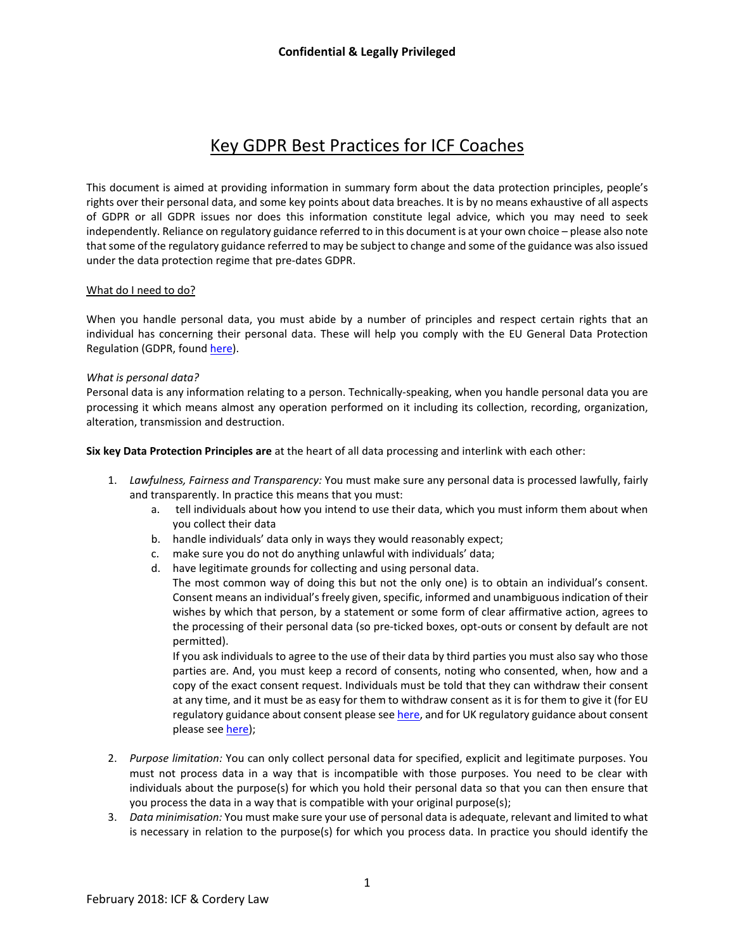# **Confidential & Legally Privileged**



# Key GDPR Best Practices for ICF Coaches

This document is aimed at providing information in summary form about the data protection principles, people's rights over their personal data, and some key points about data breaches. It is by no means exhaustive of all aspects of GDPR or all GDPR issues nor does this information constitute legal advice, which you may need to seek independently. Reliance on regulatory guidance referred to in this document is at your own choice – please also note that some of the regulatory guidance referred to may be subject to change and some of the guidance was also issued under the data protection regime that pre-dates GDPR.

## What do I need to do?

When you handle personal data, you must abide by a number of principles and respect certain rights that an individual has concerning their personal data. These will help you comply with the EU General Data Protection Regulation (GDPR, found [here\)](http://eur-lex.europa.eu/legal-content/en/TXT/?uri=CELEX%3A32016R0679).

#### *What is personal data?*

Personal data is any information relating to a person. Technically-speaking, when you handle personal data you are processing it which means almost any operation performed on it including its collection, recording, organization, alteration, transmission and destruction.

**Six key Data Protection Principles are** at the heart of all data processing and interlink with each other:

- 1. *Lawfulness, Fairness and Transparency:* You must make sure any personal data is processed lawfully, fairly and transparently. In practice this means that you must:
	- a. tell individuals about how you intend to use their data, which you must inform them about when you collect their data
	- b. handle individuals' data only in ways they would reasonably expect;
	- c. make sure you do not do anything unlawful with individuals' data;
	- d. have legitimate grounds for collecting and using personal data.

The most common way of doing this but not the only one) is to obtain an individual's consent. Consent means an individual's freely given, specific, informed and unambiguous indication of their wishes by which that person, by a statement or some form of clear affirmative action, agrees to the processing of their personal data (so pre-ticked boxes, opt-outs or consent by default are not permitted).

If you ask individuals to agree to the use of their data by third parties you must also say who those parties are. And, you must keep a record of consents, noting who consented, when, how and a copy of the exact consent request. Individuals must be told that they can withdraw their consent at any time, and it must be as easy for them to withdraw consent as it is for them to give it (for EU regulatory guidance about consent please se[e here,](http://ec.europa.eu/newsroom/just/item-detail.cfm?item_id=50083) and for UK regulatory guidance about consent please se[e here\)](https://ico.org.uk/about-the-ico/ico-and-stakeholder-consultations/gdpr-consent-guidance/);

- 2. *Purpose limitation:* You can only collect personal data for specified, explicit and legitimate purposes. You must not process data in a way that is incompatible with those purposes. You need to be clear with individuals about the purpose(s) for which you hold their personal data so that you can then ensure that you process the data in a way that is compatible with your original purpose(s);
- 3. *Data minimisation:* You must make sure your use of personal data is adequate, relevant and limited to what is necessary in relation to the purpose(s) for which you process data. In practice you should identify the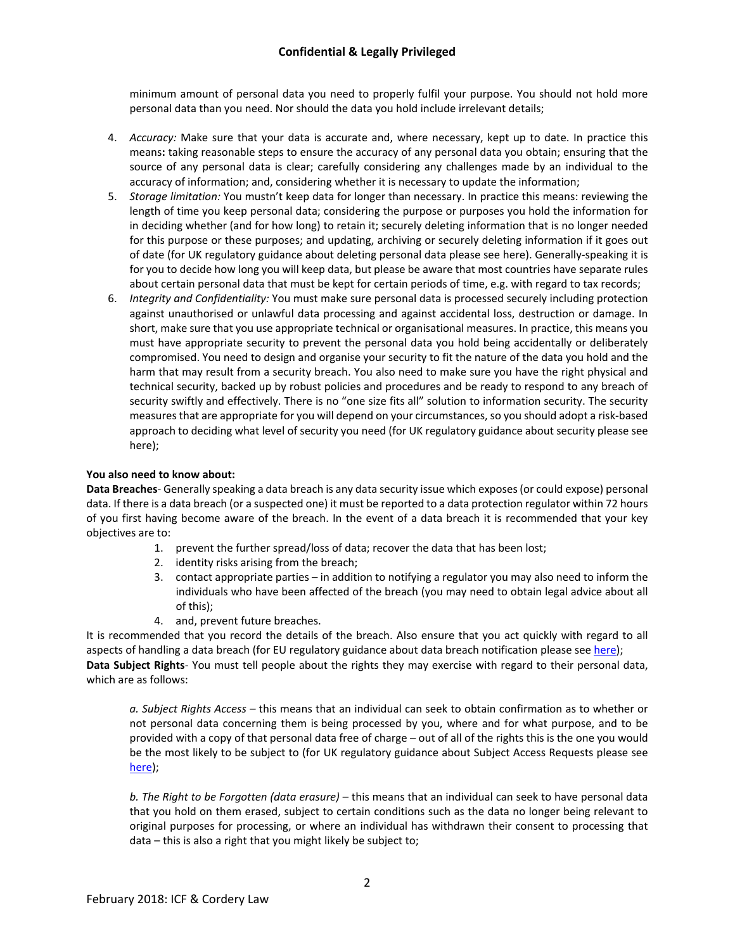# **Confidential & Legally Privileged**

minimum amount of personal data you need to properly fulfil your purpose. You should not hold more personal data than you need. Nor should the data you hold include irrelevant details;

- 4. *Accuracy:* Make sure that your data is accurate and, where necessary, kept up to date. In practice this means**:** taking reasonable steps to ensure the accuracy of any personal data you obtain; ensuring that the source of any personal data is clear; carefully considering any challenges made by an individual to the accuracy of information; and, considering whether it is necessary to update the information;
- 5. *Storage limitation:* You mustn't keep data for longer than necessary. In practice this means: reviewing the length of time you keep personal data; considering the purpose or purposes you hold the information for in deciding whether (and for how long) to retain it; securely deleting information that is no longer needed for this purpose or these purposes; and updating, archiving or securely deleting information if it goes out of date (for UK regulatory guidance about deleting personal data please see [here\)](https://ico.org.uk/for-organisations/guidance-index/data-protection-and-privacy-and-electronic-communications/). Generally-speaking it is for you to decide how long you will keep data, but please be aware that most countries have separate rules about certain personal data that must be kept for certain periods of time, e.g. with regard to tax records;
- 6. *Integrity and Confidentiality:* You must make sure personal data is processed securely including protection against unauthorised or unlawful data processing and against accidental loss, destruction or damage. In short, make sure that you use appropriate technical or organisational measures. In practice, this means you must have appropriate security to prevent the personal data you hold being accidentally or deliberately compromised. You need to design and organise your security to fit the nature of the data you hold and the harm that may result from a security breach. You also need to make sure you have the right physical and technical security, backed up by robust policies and procedures and be ready to respond to any breach of security swiftly and effectively. There is no "one size fits all" solution to information security. The security measures that are appropriate for you will depend on your circumstances, so you should adopt a risk-based approach to deciding what level of security you need (for UK regulatory guidance about security please see [here\)](https://ico.org.uk/for-organisations/guidance-index/data-protection-and-privacy-and-electronic-communications/);

### **You also need to know about:**

**Data Breaches**- Generally speaking a data breach is any data security issue which exposes (or could expose) personal data. If there is a data breach (or a suspected one) it must be reported to a data protection regulator within 72 hours of you first having become aware of the breach. In the event of a data breach it is recommended that your key objectives are to:

- 1. prevent the further spread/loss of data; recover the data that has been lost;
- 2. identity risks arising from the breach;
- 3. contact appropriate parties in addition to notifying a regulator you may also need to inform the individuals who have been affected of the breach (you may need to obtain legal advice about all of this);
- 4. and, prevent future breaches.

It is recommended that you record the details of the breach. Also ensure that you act quickly with regard to all aspects of handling a data breach (for EU regulatory guidance about data breach notification please see [here\)](http://ec.europa.eu/newsroom/just/item-detail.cfm?item_id=50083); **Data Subject Rights**- You must tell people about the rights they may exercise with regard to their personal data, which are as follows:

*a. Subject Rights Access –* this means that an individual can seek to obtain confirmation as to whether or not personal data concerning them is being processed by you, where and for what purpose, and to be provided with a copy of that personal data free of charge – out of all of the rights this is the one you would be the most likely to be subject to (for UK regulatory guidance about Subject Access Requests please see [here\)](https://ico.org.uk/for-organisations/guidance-index/data-protection-and-privacy-and-electronic-communications/);

*b. The Right to be Forgotten (data erasure) –* this means that an individual can seek to have personal data that you hold on them erased, subject to certain conditions such as the data no longer being relevant to original purposes for processing, or where an individual has withdrawn their consent to processing that data – this is also a right that you might likely be subject to;